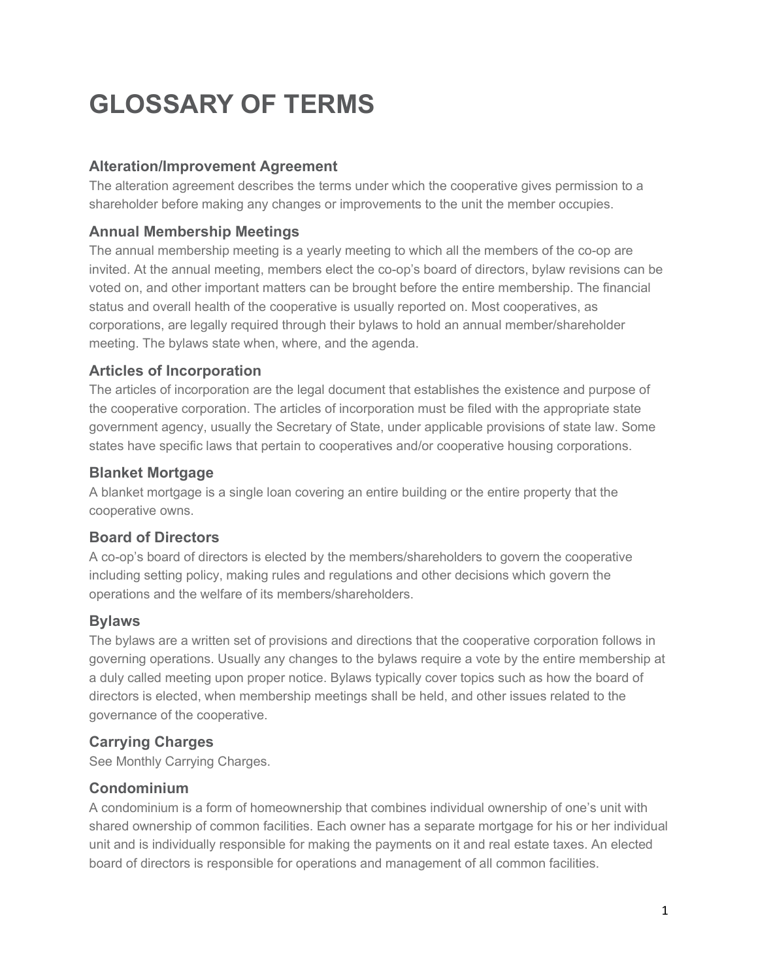# **GLOSSARY OF TERMS**

## **Alteration/Improvement Agreement**

The alteration agreement describes the terms under which the cooperative gives permission to a shareholder before making any changes or improvements to the unit the member occupies.

# **Annual Membership Meetings**

The annual membership meeting is a yearly meeting to which all the members of the co-op are invited. At the annual meeting, members elect the co-op's board of directors, bylaw revisions can be voted on, and other important matters can be brought before the entire membership. The financial status and overall health of the cooperative is usually reported on. Most cooperatives, as corporations, are legally required through their bylaws to hold an annual member/shareholder meeting. The bylaws state when, where, and the agenda.

## **Articles of Incorporation**

The articles of incorporation are the legal document that establishes the existence and purpose of the cooperative corporation. The articles of incorporation must be filed with the appropriate state government agency, usually the Secretary of State, under applicable provisions of state law. Some states have specific laws that pertain to cooperatives and/or cooperative housing corporations.

#### **Blanket Mortgage**

A blanket mortgage is a single loan covering an entire building or the entire property that the cooperative owns.

## **Board of Directors**

A co-op's board of directors is elected by the members/shareholders to govern the cooperative including setting policy, making rules and regulations and other decisions which govern the operations and the welfare of its members/shareholders.

## **Bylaws**

The bylaws are a written set of provisions and directions that the cooperative corporation follows in governing operations. Usually any changes to the bylaws require a vote by the entire membership at a duly called meeting upon proper notice. Bylaws typically cover topics such as how the board of directors is elected, when membership meetings shall be held, and other issues related to the governance of the cooperative.

# **Carrying Charges**

See Monthly Carrying Charges.

## **Condominium**

A condominium is a form of homeownership that combines individual ownership of one's unit with shared ownership of common facilities. Each owner has a separate mortgage for his or her individual unit and is individually responsible for making the payments on it and real estate taxes. An elected board of directors is responsible for operations and management of all common facilities.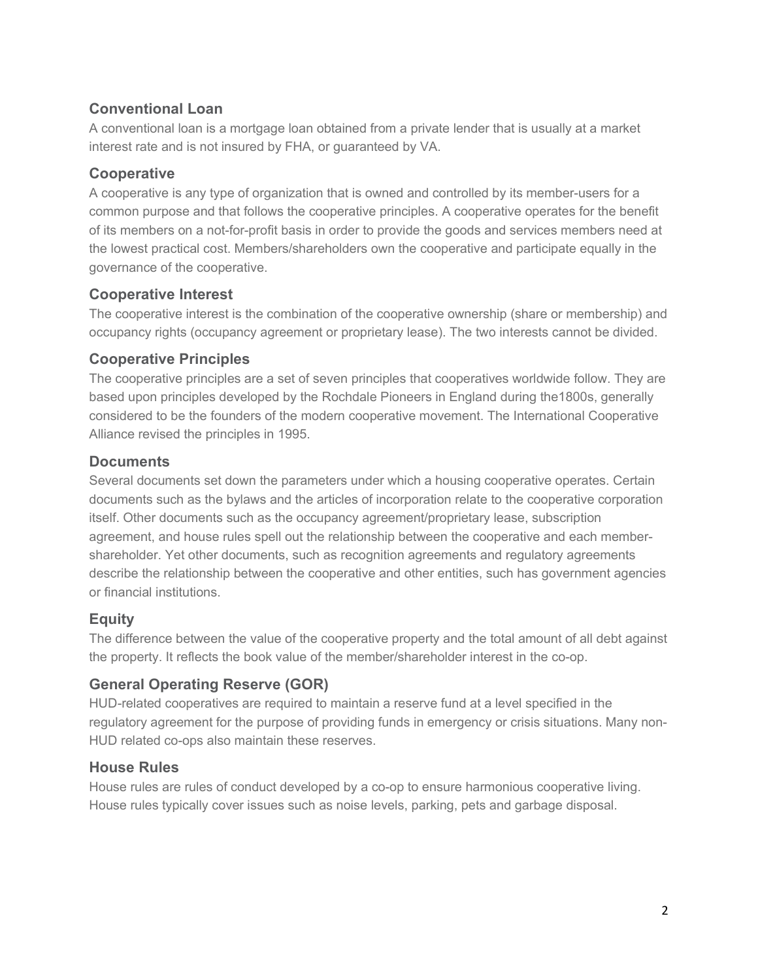## **Conventional Loan**

A conventional loan is a mortgage loan obtained from a private lender that is usually at a market interest rate and is not insured by FHA, or guaranteed by VA.

# **Cooperative**

A cooperative is any type of organization that is owned and controlled by its member-users for a common purpose and that follows the cooperative principles. A cooperative operates for the benefit of its members on a not-for-profit basis in order to provide the goods and services members need at the lowest practical cost. Members/shareholders own the cooperative and participate equally in the governance of the cooperative.

# **Cooperative Interest**

The cooperative interest is the combination of the cooperative ownership (share or membership) and occupancy rights (occupancy agreement or proprietary lease). The two interests cannot be divided.

# **Cooperative Principles**

The cooperative principles are a set of seven principles that cooperatives worldwide follow. They are based upon principles developed by the Rochdale Pioneers in England during the1800s, generally considered to be the founders of the modern cooperative movement. The International Cooperative Alliance revised the principles in 1995.

# **Documents**

Several documents set down the parameters under which a housing cooperative operates. Certain documents such as the bylaws and the articles of incorporation relate to the cooperative corporation itself. Other documents such as the occupancy agreement/proprietary lease, subscription agreement, and house rules spell out the relationship between the cooperative and each membershareholder. Yet other documents, such as recognition agreements and regulatory agreements describe the relationship between the cooperative and other entities, such has government agencies or financial institutions.

# **Equity**

The difference between the value of the cooperative property and the total amount of all debt against the property. It reflects the book value of the member/shareholder interest in the co-op.

# **General Operating Reserve (GOR)**

HUD-related cooperatives are required to maintain a reserve fund at a level specified in the regulatory agreement for the purpose of providing funds in emergency or crisis situations. Many non-HUD related co-ops also maintain these reserves.

# **House Rules**

House rules are rules of conduct developed by a co-op to ensure harmonious cooperative living. House rules typically cover issues such as noise levels, parking, pets and garbage disposal.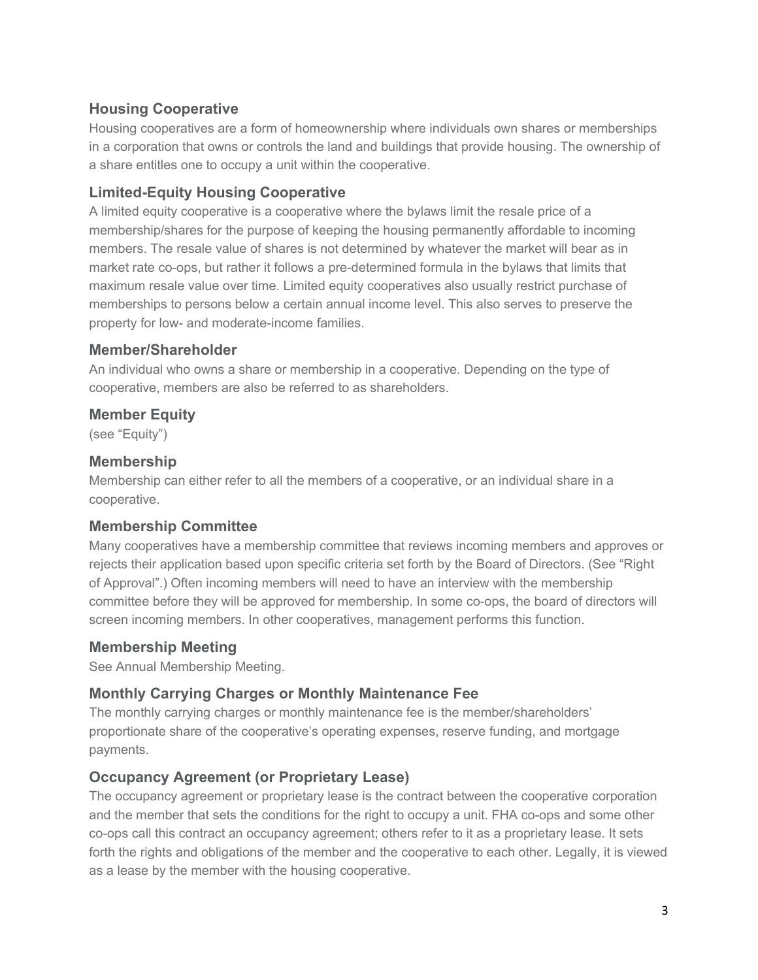## **Housing Cooperative**

Housing cooperatives are a form of homeownership where individuals own shares or memberships in a corporation that owns or controls the land and buildings that provide housing. The ownership of a share entitles one to occupy a unit within the cooperative.

# **Limited-Equity Housing Cooperative**

A limited equity cooperative is a cooperative where the bylaws limit the resale price of a membership/shares for the purpose of keeping the housing permanently affordable to incoming members. The resale value of shares is not determined by whatever the market will bear as in market rate co-ops, but rather it follows a pre-determined formula in the bylaws that limits that maximum resale value over time. Limited equity cooperatives also usually restrict purchase of memberships to persons below a certain annual income level. This also serves to preserve the property for low- and moderate-income families.

#### **Member/Shareholder**

An individual who owns a share or membership in a cooperative. Depending on the type of cooperative, members are also be referred to as shareholders.

# **Member Equity**

(see "Equity")

# **Membership**

Membership can either refer to all the members of a cooperative, or an individual share in a cooperative.

## **Membership Committee**

Many cooperatives have a membership committee that reviews incoming members and approves or rejects their application based upon specific criteria set forth by the Board of Directors. (See "Right of Approval".) Often incoming members will need to have an interview with the membership committee before they will be approved for membership. In some co-ops, the board of directors will screen incoming members. In other cooperatives, management performs this function.

## **Membership Meeting**

See Annual Membership Meeting.

## **Monthly Carrying Charges or Monthly Maintenance Fee**

The monthly carrying charges or monthly maintenance fee is the member/shareholders' proportionate share of the cooperative's operating expenses, reserve funding, and mortgage payments.

## **Occupancy Agreement (or Proprietary Lease)**

The occupancy agreement or proprietary lease is the contract between the cooperative corporation and the member that sets the conditions for the right to occupy a unit. FHA co-ops and some other co-ops call this contract an occupancy agreement; others refer to it as a proprietary lease. It sets forth the rights and obligations of the member and the cooperative to each other. Legally, it is viewed as a lease by the member with the housing cooperative.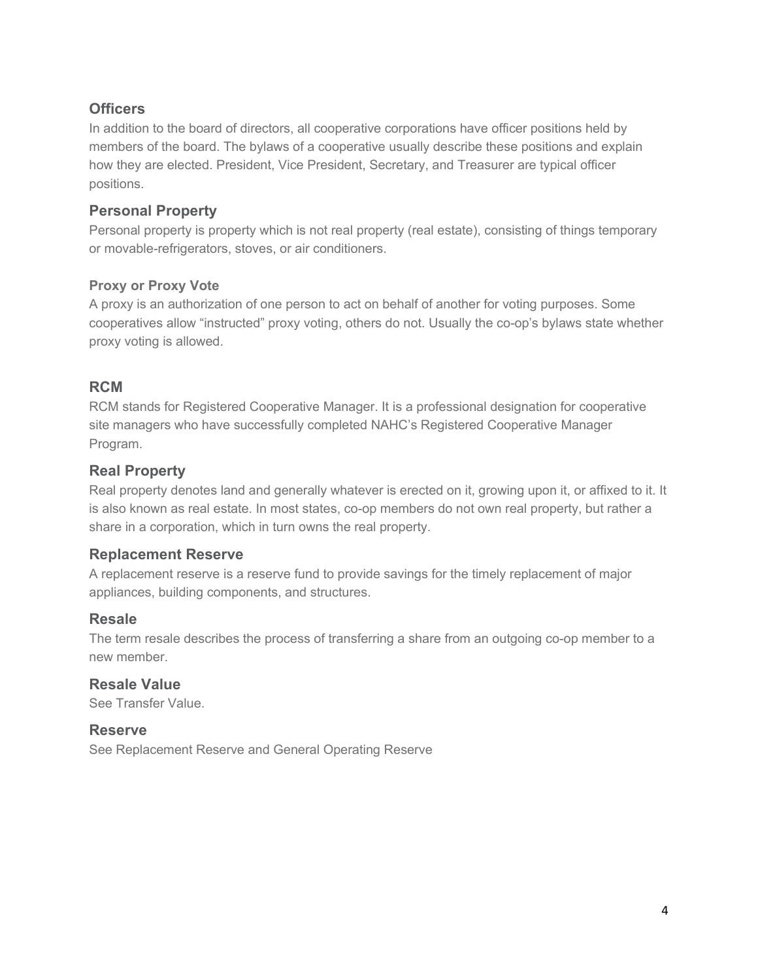#### **Officers**

In addition to the board of directors, all cooperative corporations have officer positions held by members of the board. The bylaws of a cooperative usually describe these positions and explain how they are elected. President, Vice President, Secretary, and Treasurer are typical officer positions.

#### **Personal Property**

Personal property is property which is not real property (real estate), consisting of things temporary or movable-refrigerators, stoves, or air conditioners.

#### **Proxy or Proxy Vote**

A proxy is an authorization of one person to act on behalf of another for voting purposes. Some cooperatives allow "instructed" proxy voting, others do not. Usually the co-op's bylaws state whether proxy voting is allowed.

#### **RCM**

RCM stands for Registered Cooperative Manager. It is a professional designation for cooperative site managers who have successfully completed NAHC's Registered Cooperative Manager Program.

#### **Real Property**

Real property denotes land and generally whatever is erected on it, growing upon it, or affixed to it. It is also known as real estate. In most states, co-op members do not own real property, but rather a share in a corporation, which in turn owns the real property.

#### **Replacement Reserve**

A replacement reserve is a reserve fund to provide savings for the timely replacement of major appliances, building components, and structures.

#### **Resale**

The term resale describes the process of transferring a share from an outgoing co-op member to a new member.

**Resale Value** See Transfer Value.

#### **Reserve**

See Replacement Reserve and General Operating Reserve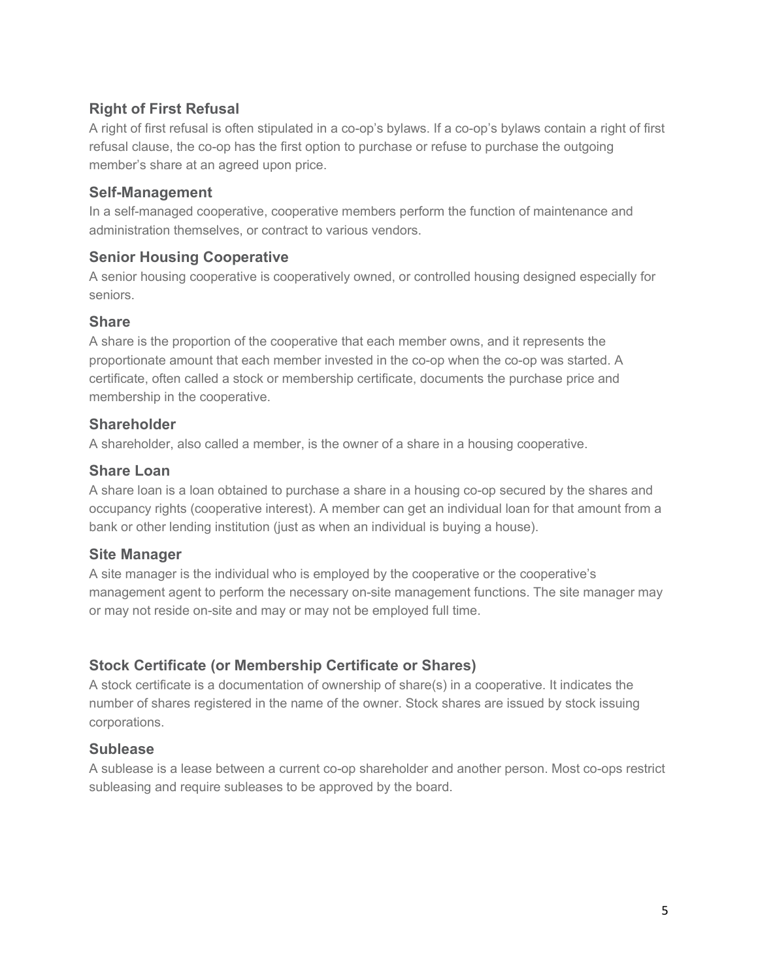#### **Right of First Refusal**

A right of first refusal is often stipulated in a co-op's bylaws. If a co-op's bylaws contain a right of first refusal clause, the co-op has the first option to purchase or refuse to purchase the outgoing member's share at an agreed upon price.

#### **Self-Management**

In a self-managed cooperative, cooperative members perform the function of maintenance and administration themselves, or contract to various vendors.

#### **Senior Housing Cooperative**

A senior housing cooperative is cooperatively owned, or controlled housing designed especially for seniors.

#### **Share**

A share is the proportion of the cooperative that each member owns, and it represents the proportionate amount that each member invested in the co-op when the co-op was started. A certificate, often called a stock or membership certificate, documents the purchase price and membership in the cooperative.

#### **Shareholder**

A shareholder, also called a member, is the owner of a share in a housing cooperative.

#### **Share Loan**

A share loan is a loan obtained to purchase a share in a housing co-op secured by the shares and occupancy rights (cooperative interest). A member can get an individual loan for that amount from a bank or other lending institution (just as when an individual is buying a house).

#### **Site Manager**

A site manager is the individual who is employed by the cooperative or the cooperative's management agent to perform the necessary on-site management functions. The site manager may or may not reside on-site and may or may not be employed full time.

## **Stock Certificate (or Membership Certificate or Shares)**

A stock certificate is a documentation of ownership of share(s) in a cooperative. It indicates the number of shares registered in the name of the owner. Stock shares are issued by stock issuing corporations.

#### **Sublease**

A sublease is a lease between a current co-op shareholder and another person. Most co-ops restrict subleasing and require subleases to be approved by the board.